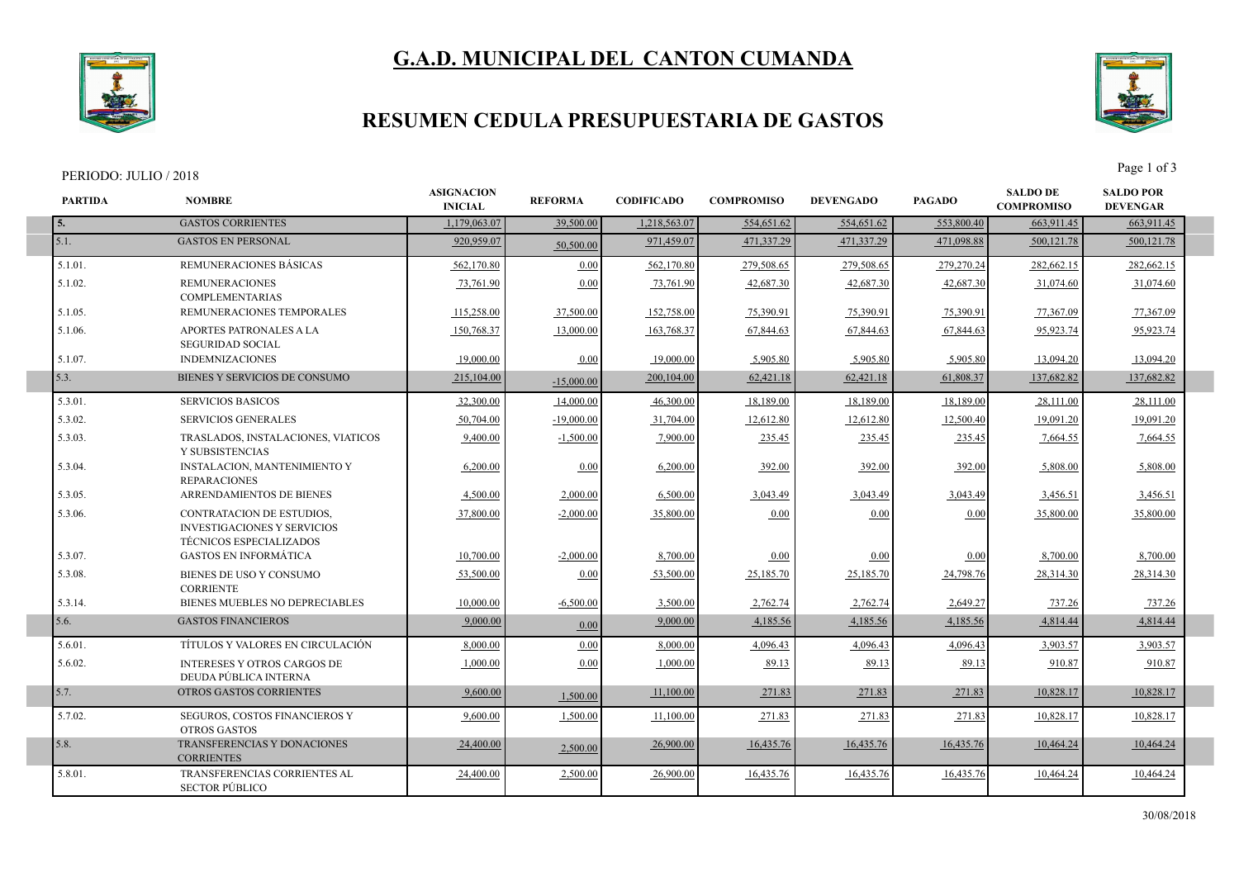# **G.A.D. MUNICIPAL DEL CANTON CUMANDA**

**ASIGNACION**<br>**REFORMA** 



#### **RESUMEN CEDULA PRESUPUESTARIA DE GASTOS**

#### PERIODO: JULIO / 2018 Page 1 of 3

**PARTIDA NOMBRE**

5.7.02. SEGUROS, COSTOS FINANCIEROS Y OTROS GASTOS

**CORRIENTES** 

5.8.01. TRANSFERENCIAS CORRIENTES AL SECTOR PÚBLICO



**SALDO POR DEVENGAR**

**SALDO DE COMPROMISO DEVENGADO PAGADO**

16,435.76 10.464.24

**5.** GASTOS CORRIENTES 1,179,063.07 39,500.00 1,218,563.07 554,651.62 554,651.62 553,800.40 563,911.45 663,911.45 5.1. 920,959.07 50,500.00 GASTOS EN PERSONAL 971,459.07 471,337.29 471,337.29 471,098.88 500,121.78 500,121.78 5.1.01. REMUNERACIONES BÁSICAS 562,170.80 0.00 562,170.80 279,508.65 279,508.65 279,270.24 282,662.15 282,662.15 5.1.02. REMUNERACIONES COMPLEMENTARIAS 73,761.90 0.00 73,761.90 42,687.30 42,687.30 42,687.30 31,074.60 31,074.60 5.1.05. REMUNERACIONES TEMPORALES 115,258.00 37,500.00 152,758.00 75,390.91 75,390.91 75,390.91 77,367.09 77,367.09 5.1.06. APORTES PATRONALES A LA SEGURIDAD SOCIAL 150,768.37 13,000.00 163,768.37 67,844.63 67,844.63 67,844.63 95,923.74 95,923.74 5.1.07. INDEMNIZACIONES | 19,000.00 0.00 19,000.00 5,905.80 5,905.80 5,905.80 13,094.20 13,094.20 13,094.20 5.3. 215,000.00 BIENES Y SERVICIOS DE CONSUMO 200,104.00 and 52,421.18 consumed by the material of the material of the material of the material of the material of the material of the material of the material of the materia 5.3.01. SERVICIOS BASICOS 32,300.00 14,000.00 46,300.00 18,189.00 18,189.00 18,189.00 28,111.00 28,111.00 5.3.02. SERVICIOS GENERALES | 50,704.00 | 19,000.00 | 31,704.00 | 12,612.80 | 12,612.80 | 12,500.40 | 19,091.20 | 19,091.20 | 5.3.03. TRASLADOS, INSTALACIONES, VIATICOS Y SUBSISTENCIAS 9,400.00 -1,500.00 7,900.00 235.45 235.45 235.45 7,664.55 235.45 5.3.04. INSTALACION, MANTENIMIENTO Y REPARACIONES 6,200.00 0.00 6,200.00 392.00 392.00 392.00 5,808.00 5,808.00 5.3.05. ARRENDAMIENTOS DE BIENES 4,500.00 2,000.00 2,000.00 3,043.49 3,043.49 3,043.49 3,456.51 3,456.51 3,456.51 5.3.06. CONTRATACION DE ESTUDIOS, INVESTIGACIONES Y SERVICIOS TÉCNICOS ESPECIALIZADOS  $\frac{37,800.00}{35,800.00}$   $\frac{2,000.00}{35,800.00}$   $\frac{0.00}{35,800.00}$   $\frac{0.00}{35,800.00}$   $\frac{35,800.00}{35,800.00}$ 5.3.07. GASTOS EN INFORMÁTICA 10,700.00 -2,000.00 8,700.00 0.00 0.00 0.00 8,700.00 8,700.00 5.3.08. BIENES DE USO Y CONSUMO **CORRIENTE**  53,500.00 0.00 53,500.00 25,185.70 25,185.70 24,798.76 28,314.30 28,314.30 5.3.14. BIENES MUEBLES NO DEPRECIABLES 10,000.00 -6,500.00 3,500.00 2,762.74 2,762.74 2,649.27 737.26 737.26 5.6. 9,000.00 0.00 GASTOS FINANCIEROS 9,000.00 4,185.56 4,185.56 4,185.56 4,814.44 4,814.44 5.6.01. TÍTULOS Y VALORES EN CIRCULACIÓN 8,000.00 0.00 8,000.00 4,096.43 4,096.43 4,096.43 3,903.57 3,903.57 5.6.02. INTERESES Y OTROS CARGOS DE DEUDA PÚBLICA INTERNA 1,000.00 0.00 1,000.00 89.13 89.13 89.13 910.87 910.87

5.7. 9,600.00 1,500.00 OTROS GASTOS CORRIENTES 11,100.00 271.83 271.83 271.83 10,828.17 10,828.17

5.8. 24,400.00 2,500.00 TRANSFERENCIAS Y DONACIONES 26,900.00 16,435.76 16,435.76 10,464.24 10,464.24

9,600.00 1,500.00 11,100.00 271.83 271.83 271.83 10,828.17 10,828.17

24,400.00 2,500.00 26,900.00 16,435.76 16,435.76 16,435.76 16,435.76 16,435.76

**INICIAL REFORMA CODIFICADO COMPROMISO**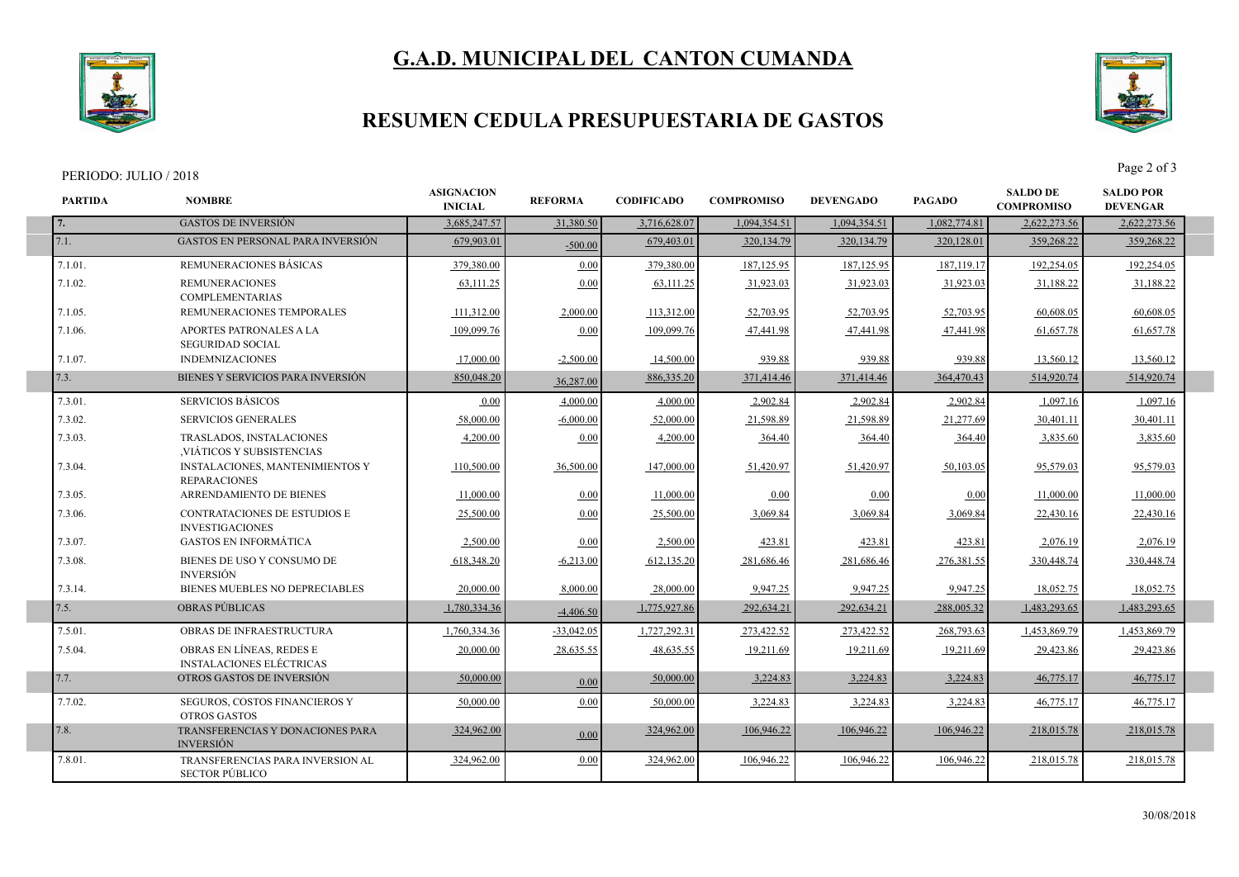## **G.A.D. MUNICIPAL DEL CANTON CUMANDA**



### **RESUMEN CEDULA PRESUPUESTARIA DE GASTOS**

SECTOR PÚBLICO



| PERIODO: JULIO / 2018 |                                                               |                                     |                |                   |                   |                  |               |                                      | Page 2 of 3                         |  |
|-----------------------|---------------------------------------------------------------|-------------------------------------|----------------|-------------------|-------------------|------------------|---------------|--------------------------------------|-------------------------------------|--|
| <b>PARTIDA</b>        | <b>NOMBRE</b>                                                 | <b>ASIGNACION</b><br><b>INICIAL</b> | <b>REFORMA</b> | <b>CODIFICADO</b> | <b>COMPROMISO</b> | <b>DEVENGADO</b> | <b>PAGADO</b> | <b>SALDO DE</b><br><b>COMPROMISO</b> | <b>SALDO POR</b><br><b>DEVENGAR</b> |  |
| 7.                    | <b>GASTOS DE INVERSIÓN</b>                                    | 3,685,247.57                        | 31,380.50      | 3,716,628.07      | 1.094.354.51      | 1.094.354.51     | 1,082,774.81  | 2,622,273.56                         | 2,622,273.56                        |  |
| 7.1.                  | <b>GASTOS EN PERSONAL PARA INVERSIÓN</b>                      | 679,903.01                          | $-500.00$      | 679,403.01        | 320, 134.79       | 320, 134. 79     | 320,128.01    | 359,268.22                           | 359,268.22                          |  |
| 7.1.01.               | REMUNERACIONES BASICAS                                        | 379,380.00                          | 0.00           | 379,380.00        | 187, 125.95       | 187,125.95       | 187,119.17    | 192,254.05                           | 192,254.05                          |  |
| 7.1.02.               | <b>REMUNERACIONES</b><br><b>COMPLEMENTARIAS</b>               | 63,111.25                           | 0.00           | 63,111.25         | 31,923.03         | 31,923.03        | 31,923.03     | 31,188.22                            | 31,188.22                           |  |
| 7.1.05.               | REMUNERACIONES TEMPORALES                                     | 111,312.00                          | 2,000.00       | 113.312.00        | 52,703.95         | 52,703.95        | 52,703.95     | 60.608.05                            | 60,608.05                           |  |
| 7.1.06.               | <b>APORTES PATRONALES A LA</b><br><b>SEGURIDAD SOCIAL</b>     | 109,099.76                          | 0.00           | 109,099.76        | 47,441.98         | 47,441.98        | 47,441.98     | 61,657.78                            | 61,657.78                           |  |
| 7.1.07.               | <b>INDEMNIZACIONES</b>                                        | 17,000.00                           | $-2,500.00$    | 14,500.00         | 939.88            | 939.88           | 939.88        | 13,560.12                            | 13,560.12                           |  |
| 7.3.                  | BIENES Y SERVICIOS PARA INVERSIÓN                             | 850,048.20                          | 36,287.00      | 886, 335. 20      | 371,414.46        | 371,414.46       | 364,470.43    | 514,920.74                           | 514,920.74                          |  |
| 7.3.01.               | <b>SERVICIOS BÁSICOS</b>                                      | 0.00                                | 4,000.00       | 4.000.00          | 2,902.84          | 2,902.84         | 2,902.84      | 1,097.16                             | 1,097.16                            |  |
| 7.3.02.               | <b>SERVICIOS GENERALES</b>                                    | 58,000.00                           | $-6,000.00$    | 52,000.00         | 21,598.89         | 21,598.89        | 21,277.69     | 30,401.11                            | 30,401.11                           |  |
| 7.3.03.               | TRASLADOS, INSTALACIONES<br>VIÁTICOS Y SUBSISTENCIAS          | 4,200.00                            | 0.00           | 4,200.00          | 364.40            | 364.40           | 364.40        | 3,835.60                             | 3,835.60                            |  |
| 7.3.04.               | INSTALACIONES, MANTENIMIENTOS Y<br><b>REPARACIONES</b>        | 110,500.00                          | 36,500.00      | 147,000.00        | 51,420.97         | 51,420.97        | 50,103.05     | 95,579.03                            | 95,579.03                           |  |
| 7.3.05.               | ARRENDAMIENTO DE BIENES                                       | 11,000.00                           | 0.00           | 11,000.00         | 0.00              | 0.00             | 0.00          | 11,000.00                            | 11,000.00                           |  |
| 7.3.06.               | <b>CONTRATACIONES DE ESTUDIOS E</b><br><b>INVESTIGACIONES</b> | 25,500.00                           | 0.00           | 25,500.00         | 3,069.84          | 3,069.84         | 3,069.84      | 22,430.16                            | 22,430.16                           |  |
| 7.3.07.               | <b>GASTOS EN INFORMÁTICA</b>                                  | 2,500.00                            | 0.00           | 2,500.00          | 423.81            | 423.81           | 423.81        | 2,076.19                             | 2,076.19                            |  |
| 7.3.08.               | BIENES DE USO Y CONSUMO DE<br><b>INVERSIÓN</b>                | 618,348.20                          | $-6,213.00$    | 612,135.20        | 281,686.46        | 281,686.46       | 276,381.55    | 330,448.74                           | 330,448.74                          |  |
| 7.3.14.               | BIENES MUEBLES NO DEPRECIABLES                                | 20,000.00                           | 8,000.00       | 28,000.00         | 9,947.25          | 9,947.25         | 9,947.25      | 18,052.75                            | 18,052.75                           |  |
| 7.5.                  | <b>OBRAS PÚBLICAS</b>                                         | 1,780,334.36                        | $-4,406.50$    | 1,775,927.86      | 292,634.21        | 292,634.21       | 288,005.32    | 1,483,293.65                         | 1,483,293.65                        |  |
| 7.5.01.               | OBRAS DE INFRAESTRUCTURA                                      | 1,760,334.36                        | $-33,042.05$   | 1,727,292.31      | 273,422.52        | 273,422.52       | 268,793.63    | 1,453,869.79                         | 1,453,869.79                        |  |
| 7.5.04.               | OBRAS EN LÍNEAS, REDES E<br><b>INSTALACIONES ELÉCTRICAS</b>   | 20,000.00                           | 28,635.55      | 48,635.55         | 19,211.69         | 19,211.69        | 19,211.69     | 29,423.86                            | 29,423.86                           |  |
| 7.7.                  | OTROS GASTOS DE INVERSIÓN                                     | 50,000.00                           | 0.00           | 50,000.00         | 3,224.83          | 3,224.83         | 3,224.83      | 46,775.17                            | 46,775.17                           |  |
| 7.7.02.               | SEGUROS, COSTOS FINANCIEROS Y<br><b>OTROS GASTOS</b>          | 50,000.00                           | 0.00           | 50,000.00         | 3,224.83          | 3,224.83         | 3,224.83      | 46,775.17                            | 46,775.17                           |  |
| 7.8.                  | TRANSFERENCIAS Y DONACIONES PARA<br><b>INVERSIÓN</b>          | 324,962.00                          | 0.00           | 324,962.00        | 106,946.22        | 106,946.22       | 106,946.22    | 218,015.78                           | 218,015.78                          |  |
| 7.8.01                | TRANSFERENCIAS PARA INVERSION AL                              | 324,962.00                          | 0.00           | 324,962.00        | 106,946.22        | 106,946.22       | 106,946.22    | 218,015.78                           | 218,015.78                          |  |